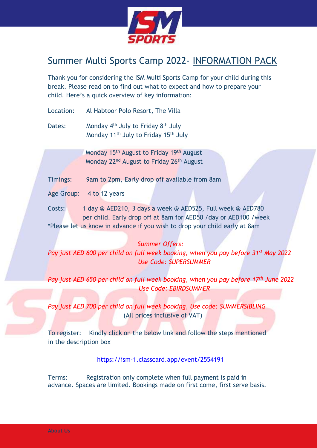

# Summer Multi Sports Camp 2022- INFORMATION PACK

Thank you for considering the ISM Multi Sports Camp for your child during this break. Please read on to find out what to expect and how to prepare your child. Here's a quick overview of key information:

Location: Al Habtoor Polo Resort, The Villa

Dates: Monday 4<sup>th</sup> July to Friday 8<sup>th</sup> July Monday 11th July to Friday 15th July

> Monday 15<sup>th</sup> August to Friday 19<sup>th</sup> August Monday 22<sup>nd</sup> August to Friday 26<sup>th</sup> August

Timings: 9am to 2pm, Early drop off available from 8am

Age Group: 4 to 12 years

Costs: 1 day @ AED210, 3 days a week @ AED525, Full week @ AED780 per child. Early drop off at 8am for AED50 /day or AED100 /week \*Please let us know in advance if you wish to drop your child early at 8am

## *Summer Offers:*

*Pay just AED 600 per child on full week booking, when you pay before 31st May 2022 Use Code: SUPERSUMMER*

*Pay just AED 650 per child on full week booking, when you pay before 17th June 2022 Use Code: EBIRDSUMMER*

*Pay just AED 700 per child on full week booking, Use code: SUMMERSIBLING* (All prices inclusive of VAT)

To register: Kindly click on the below link and follow the steps mentioned in the description box

<https://ism-1.classcard.app/event/2554191>

Terms: Registration only complete when full payment is paid in advance. Spaces are limited. Bookings made on first come, first serve basis.